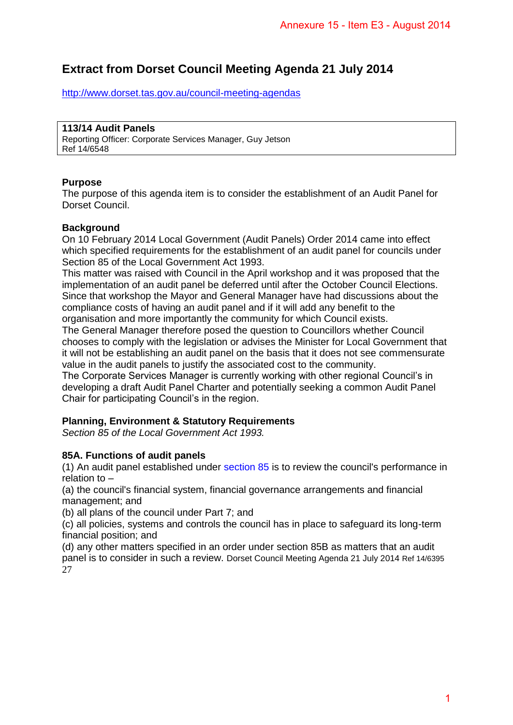# **Extract from Dorset Council Meeting Agenda 21 July 2014**

<http://www.dorset.tas.gov.au/council-meeting-agendas>

# **113/14 Audit Panels**

Reporting Officer: Corporate Services Manager, Guy Jetson Ref 14/6548

# **Purpose**

The purpose of this agenda item is to consider the establishment of an Audit Panel for Dorset Council.

# **Background**

On 10 February 2014 Local Government (Audit Panels) Order 2014 came into effect which specified requirements for the establishment of an audit panel for councils under Section 85 of the Local Government Act 1993.

This matter was raised with Council in the April workshop and it was proposed that the implementation of an audit panel be deferred until after the October Council Elections. Since that workshop the Mayor and General Manager have had discussions about the compliance costs of having an audit panel and if it will add any benefit to the organisation and more importantly the community for which Council exists. Annexure 15 - Item E3 - August 2014<br>
Agenda 21 July 2014<br>
Agenda 21 July 2014<br>
Indas<br>
son<br>
son<br>
the establishment of an Audit Panel for<br>
annels) Order 2014 came into effect<br>
to f an audit panel for council Elections<br>
on th

The General Manager therefore posed the question to Councillors whether Council chooses to comply with the legislation or advises the Minister for Local Government that it will not be establishing an audit panel on the basis that it does not see commensurate value in the audit panels to justify the associated cost to the community.

The Corporate Services Manager is currently working with other regional Council's in developing a draft Audit Panel Charter and potentially seeking a common Audit Panel Chair for participating Council's in the region.

# **Planning, Environment & Statutory Requirements**

*Section 85 of the Local Government Act 1993.* 

#### **85A. Functions of audit panels**

(1) An audit panel established under section 85 is to review the council's performance in relation to –

(a) the council's financial system, financial governance arrangements and financial management; and

(b) all plans of the council under Part 7; and

(c) all policies, systems and controls the council has in place to safeguard its long-term financial position; and

(d) any other matters specified in an order under section 85B as matters that an audit panel is to consider in such a review. Dorset Council Meeting Agenda 21 July 2014 Ref 14/6395 27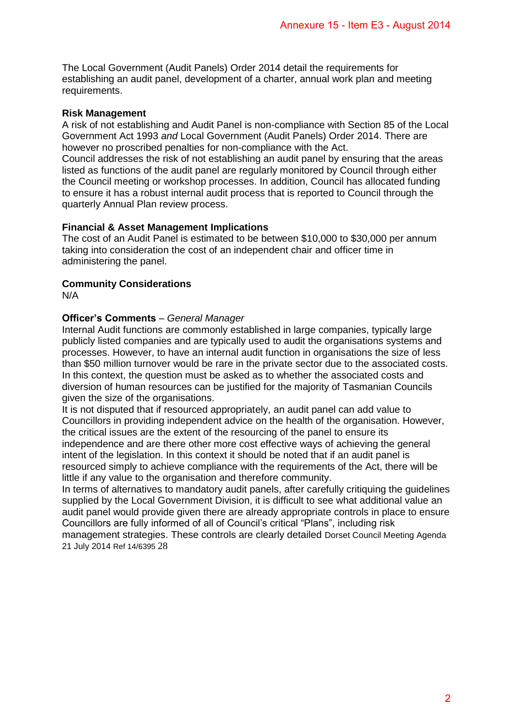The Local Government (Audit Panels) Order 2014 detail the requirements for establishing an audit panel, development of a charter, annual work plan and meeting requirements.

## **Risk Management**

A risk of not establishing and Audit Panel is non-compliance with Section 85 of the Local Government Act 1993 *and* Local Government (Audit Panels) Order 2014. There are however no proscribed penalties for non-compliance with the Act. Council addresses the risk of not establishing an audit panel by ensuring that the areas listed as functions of the audit panel are regularly monitored by Council through either the Council meeting or workshop processes. In addition, Council has allocated funding to ensure it has a robust internal audit process that is reported to Council through the quarterly Annual Plan review process. Annexure 15 - Item E3 - August 2014<br>
detail the requirements for<br>
the transition of the Local<br>
differents of the Local<br>
differents) Order 2014. There are<br>
conce with the Act.<br>
and the Act.<br>
monthced by consulic through eit

#### **Financial & Asset Management Implications**

The cost of an Audit Panel is estimated to be between \$10,000 to \$30,000 per annum taking into consideration the cost of an independent chair and officer time in administering the panel.

# **Community Considerations**

N/A

## **Officer's Comments** – *General Manager*

Internal Audit functions are commonly established in large companies, typically large publicly listed companies and are typically used to audit the organisations systems and processes. However, to have an internal audit function in organisations the size of less than \$50 million turnover would be rare in the private sector due to the associated costs. In this context, the question must be asked as to whether the associated costs and diversion of human resources can be justified for the majority of Tasmanian Councils given the size of the organisations.

It is not disputed that if resourced appropriately, an audit panel can add value to Councillors in providing independent advice on the health of the organisation. However, the critical issues are the extent of the resourcing of the panel to ensure its independence and are there other more cost effective ways of achieving the general intent of the legislation. In this context it should be noted that if an audit panel is resourced simply to achieve compliance with the requirements of the Act, there will be little if any value to the organisation and therefore community.

In terms of alternatives to mandatory audit panels, after carefully critiquing the guidelines supplied by the Local Government Division, it is difficult to see what additional value an audit panel would provide given there are already appropriate controls in place to ensure Councillors are fully informed of all of Council's critical "Plans", including risk management strategies. These controls are clearly detailed Dorset Council Meeting Agenda 21 July 2014 Ref 14/6395 28